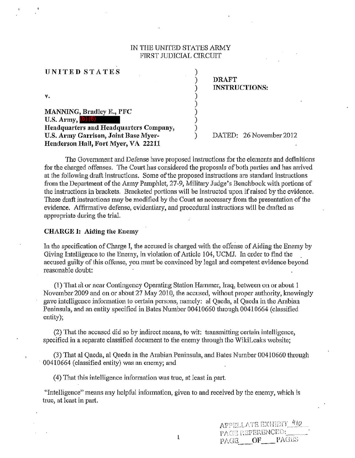### IN THE UNITED STATES ARMY FIRST JUDICIAL CIRCUIT

) ) ) ) ) ) ) ) )

| UNITED STATES                          | S. |  |
|----------------------------------------|----|--|
|                                        |    |  |
| v.                                     |    |  |
| MANNING, Bradley E., PFC               |    |  |
| U.S. Army, $(b)$ (6)                   |    |  |
| Headquarters and Headquarters Company, |    |  |
| U.S. Army Garrison, Joint Base Myer-   |    |  |
| Henderson Hall, Fort Myer, VA 22211    |    |  |

DRAFT INSTRUCTIONS:

DATED: 26 November 2012

The Goverrunent and Defense have proposed instructions for the elements and definitions for the charged offenses. The Court has considered the proposals of both parties and has arrived at the following draft instructions. Some of the proposed instructions are standard instructions from the Department of the Army Pamphlet, 27-9, Military Judge's Benchbook with portions of the instructions in brackets. Bracketed portions will be instructed upon if raised by the evidence. These draft instructions may be modified by the Court as necessary from the presentation of the evidence. Affirmative defense, evidentiary, and procedural instmctions will be drafted as appropriate during the trial.

#### CHARGE I: Aiding the Enemy

UNITED STATES

In the specification of Charge I, the accused is charged with the offense of Aiding the Enemy by Giving Intelligence to the Enemy, in violation of Article 104, UCMJ. In order to find the accused guilty of this offense, yon must be convinced by legal and competent evidence beyond reasonable doubt:

(1) That at or near Contingency Operating Station Hammer, Iraq, between on or about 1 November 2009 and on or about 27 May 201Q, the accused, without proper authority, knowingly gave intelligence information to certain persons, namely: al Qaeda, al Qaeda in the Arabian Peninsula, and an entity specified in Bates Number 00410660 through 00410664 (classified entity);

(2) That the accused did so by indirect means, to wit: transmitting certain intelligence, specified in a separate classified document to the enemy through the WikiLeaks website;

(3) That al Qaeda, al Qaeda in the Arabian Peninsula, and Bates Number 00410660 through 00410664 (classified entity) was an enemy; and

( 4) That this inteHigence information was true, at least in part.

"Intelligence" means any helpful information, given to and received by the enemy, which is true, at least in part.

ı

|                  |    | AFPELLATE EXHIBIT 410 |  |
|------------------|----|-----------------------|--|
| PAGE REFERENCED: |    |                       |  |
| PAGE             | OF | PAGES                 |  |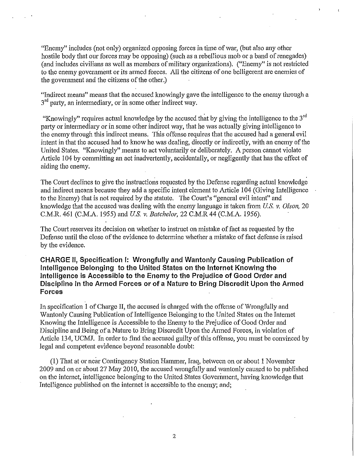"Enemy" includes (not only) organized opposing forces in time of war, (but also any other hostile body that our forces may be opposing) (such as a rebellious mob or a band of renegades) (and includes civilians as well as members of military organizations). ("Enemy" is not restricted to the enemy government or its armed forces. All the citizens of one belligerent are enemies of the government and the citizens of the other.)

"Indirect means" means that the accused knowingly gave the intelligence to the enemy through a  $3<sup>rd</sup>$  party, an intermediary, or in some other indirect way.

"Knowingly" requires actual knowledge by the accused that by giving the intelligence to the  $3<sup>rd</sup>$ party or intermediary or in some other indirect way, that he was actually giving intelligence to the enemy through this indirect means. This offense requires that the accused had a general evil intent in that the accused had to know he was dealing, directly or indirectly, with an enemy of the United States. "Knowingly" means to act voluntarily or deliberately. A person cannot violate Article 104 by committing an act inadvertently, accidentally, or negligently that has the effect of aiding the enemy.

The Court declines to give the instructions requested by the Defense regarding actual knowledge and indirect means because they add a specific intent element to Article 104 (Giving Intelligence to the Enemy) that is not required by the statute. The Court's "general evil intent" and knowledge that the accused was dealing with the enemy language is taken from *US. v. Olson,* 20 C.M.R. 461 (C.M.A. 1955) and *US. v. Batchelor,* 22 C.M.R44 (C.M.A. 1956).

The Court reserves its decision on whether to instruct on mistake of fact as requested by the Defense until the close of the evidence to determine whether a mistake of fact defense is raised by the evidence.

**CHARGE II, Specification 1: Wrongfully and Wantonly Causing Publication of Intelligence Belonging to the United States on the Internet Knowing the Intelligence is Accessible to the Enemy to the Prejudice of Good Order and Discipline in the Armed Forces or of a Nature to Bring Discredit Upon the Armed Forces** 

In specification 1 of Charge II, the accused is charged with the offense of Wrongfully and Wantonly Causing Publication of Intelligence Belonging to the United States on the Internet Knowing the Intelligence is Accessible to the Enemy to the Prejudice of Good Order and Discipline and Being of a Nature to Bring Discredit Upon the Armed Forces, in violation of Article 134, UCMJ. In order to find the accused guilty of this offense, you must be convinced by legal and competent evidence beyond reasonable doubt:

(1) That at or near Contingency Station Hammer, Iraq, between on or about 1 November 2009 and on or about 27 May 2010, the accused wrongfully and wantonly caused to be published on the internet, intelligence belonging to the United States Government, having knowledge that Intelligence published on the internet is accessible to the enemy; and;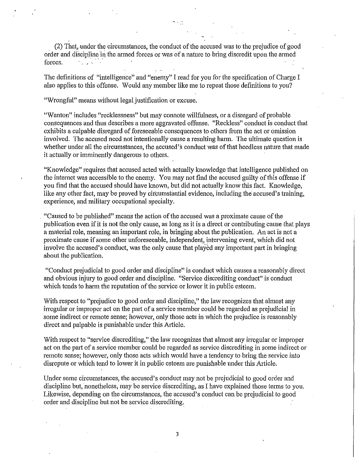(2) That, under the circumstances, the conduct of the accused was to the prejudice of good order and discipline in the armed forces or was of a nature to bring discredit upon the armed forces.  $f_{\rm eff}$   $\sim$   $\sim$   $\sim$   $\sim$ 

The definitions of "intelligence" and "enemy" I read for you for the specification of Charge I also applies to this offense. Would any member like me to repeat those definitions to you?

"Wrongful" means without legal justification or excuse.

"Wanton" includes "recklessness" but may connote willfulness, or a disregard of probable consequences and thus describes a more aggravated offense. "Reckless" conduct is conduct that exhibits a culpable disregard of foreseeable consequences to others from the act or omission involved. The accused need not intentionally cause a resulting harm. The ultimate question is whether under all the circumstances, the accused's conduct was of that heedless nature that made it actually or imminently dangerous to others.

"Knowledge" requires that accused acted with actually knowledge that intelligence published on the internet was accessible to the enemy. You may not find the accused guilty of this offense if you find that the accused should have known, but did not actually know this fact. Knowledge, like any other fact, may be proved by circumstantial evidence, including the accused's training, experience, and military occupational specialty.

. "Caused to be published" means the action of the accused was a proximate cause of the publication even if it is not the only cause, as long as it is a direct or contributing cause that plays a material role, meaning an important role, in bringing about the publication. An act is not a proximate cause if some other unforeseeable, independent, intervening event, which did not involve the accused's conduct, was the only cause that played any important part in bringing about the publication.

"Conduct prejudicial to good order and discipline" is conduct which causes a reasonably direct and obvious injury to good order and discipline. "Service discrediting conduct" is conduct which tends to harm the reputation of the service or lower it in public esteem.

With respect to "prejudice to good order and discipline," the law recognizes that almost any inegular or improper act on the part of a service member could be regarded as prejudicial in some indirect or remote sense; however, only those acts in which the prejudice is reasonably direct and palpable is punishable under this Article.

With respect to "service discrediting," the law recognizes that almost any irregular or improper act on the pati of a service member could be regarded as service discrediting in some indirect or remote sense; however, only those acts which would have a tendency to bring the service into disrepute or which tend to lower it in public esteem are punishable under this Article.

Under some circumstances, the accused's conduct may not be prejudicial to good order and discipline but, nonetheless, may be service discrediting, as I have explained those terms to you. Likewise, depending on the circumstances, the accused's conduct can be prejudicial to good order and discipline but not be service discrediting.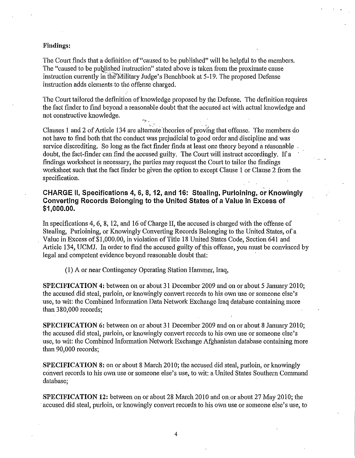### **Findings:**

The Court finds that a definition of"caused to be published" will be helpful to the members. The "caused to be published instruction" stated above is taken from the proximate cause instruction currently in the Military Judge's Benchbook at 5-19. The proposed Defense instruction adds elements to the offense charged.

The Court tailored the definition of knowledge proposed by the Defense. The definition requires the fact finder to find beyond a reasonable doubt that the accused act with actual knowledge and not constructive knowledge.  $\cdot$  .

Clauses 1 and 2 of Article 134 are alternate theories of proving that offense. The members do not have to find both that the conduct was prejudicial to good order and discipline and was service discrediting. So long as the fact finder finds at least one theory beyond a reasonable doubt, the fact-finder can find the accused guilty. The Court will instruct accordingly. If a findings worksheet is necessary, the parties may request the Comt to tailor the findings worksheet such that the fact finder be given the option to except Clause 1 or Clause 2 from the specification.

# **CHARGE II, Specifications 4, 6, 8, 12, and 16: Stealing, Purloining, or Knowingly Converting Records Belonging to the United States of a Value in Excess of \$1,000.00.**

In specifications 4, 6, 8, 12, and 16 of Charge II, the accused is charged with the offense of Stealing, Purloining, or Knowingly Converting Records Belonging to the United States, of a Value in Excess of\$1,000.00, in violation of Title 18 United States Code, Section 641 and Article 134, UCMJ. In order to find the accused guilty of this offense, you must be convinced by legal and competent evidence beyond reasonable doubt that:

(I) A or near Contingency Operating Station Hammer, Iraq,

**SPECIFICATION 4:** between on or about 31 December 2009 and on or about 5 January 2010; the accused did steal, purloin, or knowingly convert records to his own use or someone else's use, to wit: the Combined Information Data Network Exchange Iraq database containing more than380,000 records;

**SPECIFICATION** 6: between on or about 31 December 2009 and on or about 8 January 2010; the accused did steal, purloin, or knowingly convert records to his own use or someone else's use, to wit: the Combined Information Network Exchange Afghanistan database containing inore than 90,000 records;

**SPECIFICATION** 8: on or about 8 March 2010; the accused did steal, purloin, or knowingly convert records to his own use or someone else's use, to wit: a United States Southern Command database;

**SPECIFICATION 12:** between on or about 28 March 2010 and on or about 27 May 2010; the accused did steal, purloin, or knowingly convert records to his own use or someone else's use, to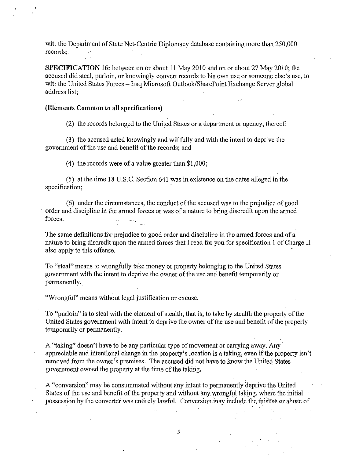wit: the Depariment of State Net-Centric Diplomacy database containing more than 250,000 records;.

**SPECIFICATION** i6: between on or about **11** May2010 and on or about27 May 2010; the accused did steal, purloin, or knowingly convert records to his own use or someone else's use, to wit: the United States Forces- Iraq Microsoft Outlook/SharePoint Exchange Server global address list;

#### .. **(Elements Common to all specifications)**

(2) the records belonged to the United States or a department or agency, thereof;

(3) the accused acted knowingly and willfully and with the intent to deprive the government of the use and benefit of the records; and .

(4) the records were of a value greater than \$1,000;

(5) at the time 18 U.S.C. Section 641 was in existence on the dates alleged in the specification;

( 6) under the circumstances, the conduct of the accused was to the prejudice of good order and discipline in the armed forces or was of a nature to bring discredit upon the armed forces.

The same definitions for prejudice to good order and discipline in the armed forces and of a nature to bring discredit upon the armed forces that I read for you for specification **1** of Charge II also apply to this offense.

To "steal" means to wrongfully take money or property belonging to the United States government with the intent to deprive the owner of the use and benefit temporarily or permanently.

"Wrongful" means without legal justification or excuse.

To "purloin" is to steal with the element of stealth, that is, to take by stealth the property of the United States government with intent to deprive the owner of the use and benefit of the propetty temporarily or permanently.

A "taking" doesn't have to be any particular type of movement or carrying away. Any appreciable and intentional change in the property's location is a taking, even if the propetty isn't removed from the owner's premises. The accused did not have to know the United States government owned the propetty at the time of the takirig.

A "conversion" may be consummated without any intent to permanently deprive the United States of the use and benefit of the property and without any wrongful taking, where the initial possession by the converter was entirely lawful. Conversion may include the misuse or abuse of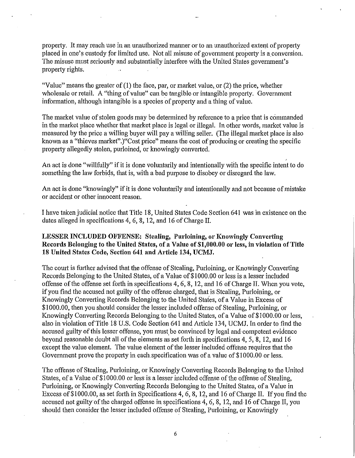property. It may reach use in an unauthorized manner or to an unauthorized extent of property placed in one's custody for limited use. Not all misuse of government property is a conversion. The misuse must seriously and substantially interfere with the United States government's propetty rights.

"Value" means the greater of  $(1)$  the face, par, or market value, or  $(2)$  the price, whether wholesale or retail. A "thing of value" can be tangible or intangible property. Govemment information, although intangible is a species of property and a thing of value.

The market value of stolen goods may be determined by reference to a price that is commanded in the market place whether that market place is legal or illegal. In other words, market value is measured by the price a willing buyer will pay a willing seller. (The illegal market place is also known as a "thieves market".)"Cost price" means the cost of producing or creating the specific propetty allegedly stolen, purloined, or knowingly convetted.

An act is done "willfully" if it is done voluntarily and intentionally with the specific intent to do something the law forbids, that is, with a bad purpose to disobey or disregard the law.

An act is done "knowingly" if it is done voluntarily and intentionally and not because of mistake or accident or other innocent reason.

I have taken judicial notice that Title 18, United States Code Section641 was in existence on the dates alleged in specifications 4, 6, 8, 12, and 16 of Charge II.

# LESSER INCLUDED OFFENSE: Stealing, Purloining, or Knowingly Converting Records Belonging to the United States, of a Value of \$1,000.00 or less, in violation of Title 18 United States Code, Section 641 and Article 134, UCMJ.

The court is further advised that the offense of Stealing, Purloining, or Knowingly Converting Records Belonging to the United States, of a Value of \$1000.00 or less is a lesser included offense of the offense set fotth in specifications 4, 6, 8, 12, and 16 of Charge II. When you vote, if you find the accused not guilty of the offense charged, that is Stealing, Purloining, or Knowingly Converting Records Belonging to the United States, of a Value in Excess of \$1000.00, then you should consider the lesser included offense of Stealing, Purloining, or Knowingly Converting Records Belonging to the United States, of a Value of \$1000.00 or less, also in violation of Title 18 U.S. Code Section 641 and Atticle 134, UCMJ. In order to find the accused guilty of this lesser offense, you must be convinced by legal and competent evidence beyond reasonable doubt all of the elements as set forth in specifications 4, 5, 8, 12, and 16 except the value element. The value element of the lesser included offense requires that the Government prove the propetty in each.specification was of a value of \$1000.00 or less.

The offense of Stealing, Purloining, or Knowingly Converting Records Belonging to the United States, of a Value of \$1000.00 or less is a lesser included offense of the offense of Stealing, Purloining, or Knowingly Converting Records Belonging to the United States, of a Value in Excess of \$1000.00, as set forth in Specifications 4, 6, 8, 12, and 16 of Charge II. If you find the accused not guilty of the charged offense in specifications 4, 6, 8, 12, and 16 of Charge II, you should then consider the lesser included offense of Stealing, Purloining, or Knowingly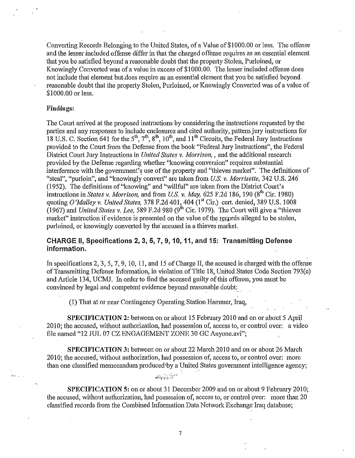Converting Records Belonging to the United States, of a Value of \$1000.00 or less. The offense and the lesser included offense differ in that the charged offense requires as an essential element that you be satisfied beyond a reasonable doubt that the property Stolen, Purloined, or Knowingly Converted was of a value in excess of\$1000.00. The lesser included offense does not include that element but.does require as an essential element that you be satisfied beyond reasonable doubt that the property Stolen, Purloined, or Knowingly Converted was of a value of \$1000.00 or less.

#### **Findings:**

The Court anived at the proposed instructions by considering the instructions requested by the patties and any responses to include enclosures and cited authority, pattern jury instructions for 18 U.S. C. Section 641 for the 5<sup>th</sup>, 7<sup>th</sup>, 8<sup>th</sup>, 10<sup>th</sup>, and 11<sup>th</sup> Circuits, the Federal Jury Instructions provided to the Court from the Defense from the book "Federal Jury Instructions", the Federal District Court Jury Instructions in *United States v. Morrison, and the additional research* provided by the Defense regarding whether "knowing conversion" requires substantial interference with the government's use of the property and "thieves market". The definitions of "steal", "purloin", and "knowingly convert" are taken from *U.S. v. Morrisette,* 342 U.S. 246 (1952). The definitions of"knowing" and "willful" are taken from the District Comi's instructions in *States v. Morrison*, and from *U.S. v. May,* 625 F.2d 186, 190 (8<sup>th</sup> Cir. 1980) quoting *O'Malley v. United States,* 378 F.2d 401, 404 (I" Cir.) cert. denied, 389 U.S. 1008 (1967) and *United States v. Lee,* 589 F.2d 980 (9<sup>th</sup> Cir. 1979). The Court will give a "thieves market" instruction if evidence is presented on the value of the records alleged to be stolen, purloined, or knowingly converted by the accused in a thieves market.

## **CHARGE 11, Specifications 2, 3, 5, 7, 9, 10,.11, and 15: Transmitting Defense information.**

In specifications 2, 3, 5, 7, 9, 10, 11, and 15 of Charge II, the accused is charged with the offense of Transmitting Defense Information, in violation of Title 18, United States Code Section 793(e) and Article 134, UCMJ. In order to find the accused guilty of this offense, you must be convinced by legal and competent evidence beyond reasonable doubt:

(1) That at or near Contingency Operating Station Hammer, Iraq,

**SPECIFICATION** 2: between on or about 15 February 2010 and on or about 5 April 2010; the accused, without authorization, had possession of, access to, or control over: a video file named "12 JUL 07 CZ ENGAGEMENT ZONE 30 GC Anyone.avi";

**SPECIFICATION** 3: between on or about 22 March 2010 and on or about 26 March 2010; the accused, without authorization, had possession of, access to, or control over: more than one classified memorandum produced by a United States government intelligence agency;

**SPECIFICATION 5:** on or about 31 December 2009 and on or about 9 February 2010; the accused, without authorization, had possession of, access to, or control over: more than 20 classified records from the Combined Information Data Network Exchange Iraq database;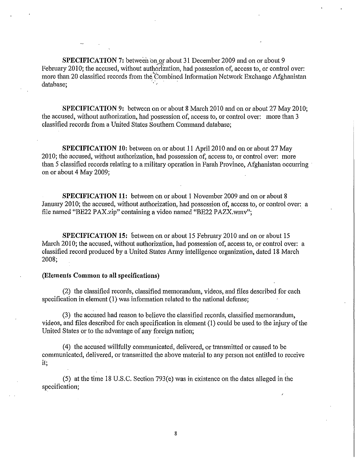**SPECIFICATION 7:** between on or about 31 December 2009 and on or about 9 February 2010; the accused, without authorization, had possession of, access to, or control over: more than 20 classified records from the Combined Information Network Exchange Afghanistan database:

**SPECIFICATION 9:** between on or about 8 March 2010 and on or about 27 May 2010; the accused, without authorization, had possession of, access to, or control over: more than 3 classified records from a United States Southern Command database;

**SPECIFICATION 10:** between on or about 11 Apri12010 and on or about 27 May 2010; the accused, without authorization, had possession of, access to, or control over: more than 5 classified records relating to a military operation in Farah Province, Afghanistan occurring · on or about 4 May 2009;

**SPECIFICATION 11:** between on or about 1 November 2009 and on or about 8 January 2010; the accused, without authorization, had possession of, access to, or control over: a file named "BE22 PAX.zip" containing a video named "BE22 PAZX.wmv";

**SPECIFICATION 15:** between on or about 15 February 2010 and on or about 15 March 2010; the accused, without authorization, had possession of, access to, or control over: a classified record produced by a United States Anny intelligence organization, dated 18 March 2008;

### **(Elements Common to all specifications)**

(2) the classified records, classified memorandum, videos, and files described for each specification in element (1) was information related to the national defense;

(3) the accused had reason to believe the classified records, classified memorandum, videos, and files described for each specification in element (1) could be used to the injury of the United States or to the advantage of any foreign nation;

( 4) the accused willfully communicated, delivered, or transmitted or caused to be communicated, delivered, or transmitted the above material to any person not entitled to receive it;

(5) at the time 18 U.S.C. Section 793(e) was in existence on the dates alleged in the specification;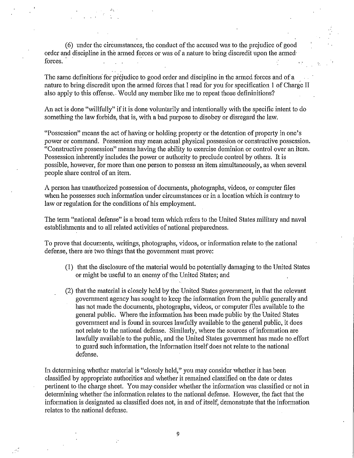(6) under the circumstances, the conduct of the accused was to the prejudice of good order and discipline in the armed forces or was of a nature to bring discredit upon the armed forces.

The same definitions for prejudice to good order and discipline in the armed forces and of a nature to bring discredit upon the armed forces that I read for you for specification 1 of Charge II also apply to this offense. Would any member like me to repeat those defininitions?

An act is done "willfully" if it is done voluntarily and intentionally with the specific intent to do something the law forbids, that is, with a bad purpose to disobey or disregard the law.

"Possession" means the act of having or holding property or the detention of property in one's power or command. Possession may mean actual physical possession or constructive possession. "Constructive possession" means having the ability to exercise dominion or control over an item. Possession inherently includes the power or authority to preclude control by others. It is possible, however, for more than one person to possess an item simultaneously, as when several people share control of an item.

A person has unauthorized possession of documents, photographs, videos, or computer files when he possesses such information under circumstances or in a location which is contrary to law or regulation for the conditions of his employment.

The term "national defense" is a broad term which refers to the United States military and naval establishments and to all related activities of national preparedness.

To prove that documents, writings, photographs, videos, or information relate to the national defense, there are two things that the govermnent must prove:

- (1) that the disclosure of the material would be potentially damaging to the United States or might be useful to an enemy of the United States; and
- (2) that the material is closely held by the United States govemment, in that the relevant govemment agency has sought to keep the infonnation from the public generally and has not made the documents, photographs, videos, or computer files available to the general public. Where the information has been made public by the United States government and is found in sources lawfully available to the general public, it does not relate to the national defense. Similarly, where the sources of information are lawfully available to the public, and the United States government has made no effort to guard such information, the information itself does not relate to the national defense.

In determining whether material is "closely held,'' you may consider whether it has been classified by appropriate authorities and whether it remained classified on the date or dates pertinent to the charge sheet. You may consider whether the information was classified or not in determining whether the information relates to the national defense. However, the fact that the information is designated as classified does not, in and of itself, demonstrate that the information relates to the national defense.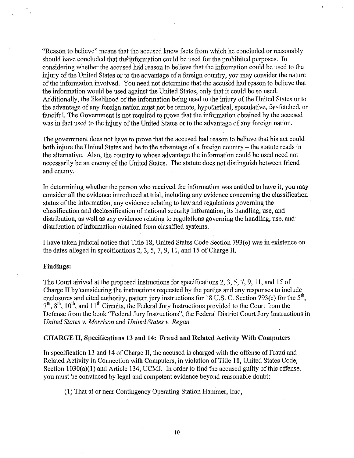"Reason to believe" means that the accused knew facts from which he concluded or reasonably should have concluded that the information could be used for the prohibited purposes. In considering whether the accused had reason to believe that the information could be used to the injury of the United States or to the advantage of a foreign country, you may consider the nature of the information involved. You need not determine that the accused had reason to believe that the information would be used against the United States, only that it could be so used. Additionally, the likelihood of the information being used to the injury of the United States or to the advantage of any foreign nation must not be remote, hypothetical, speculative, far-fetched, or fanciful. The Government is not required to prove that the information obtained by the accused was in fact used to the injury of the United States or to the advantage of any foreign nation.

The government does not have to prove that the accused had reason to believe that his act could both injure the United States and be to the advantage of a foreign country – the statute reads in the alternative. Also, the country to whose advantage the infonnation could be used need not necessarily be an enemy of the United States. The statute does not distinguish between friend and enemy.

In determining whether the person who received the infotmation was entitled to have it, you may consider all the evidence introduced at trial, including any evidence concerning the classification status of the information, any evidence relating to law and regulations governing the classification and declassification of national security information, its handling, use, and distribution, as well as any evidence relating to regulations governing the handling, use, and· distribution of infotmation obtained from classified systems.

I have taken judicial notice that Title 18, United States Code Section 793(e) was in existence on the dates alleged in specifications 2, 3, 5, 7, 9, 11, and 15 of Charge II.

### **Findings:**

The Court arrived at the proposed instructions for specifications 2, 3, 5, 7, 9, 11, and 15 of Charge II by considering the instructions requested by the parties and any responses to include enclosures and cited authority, pattern jury instructions for 18 U.S. C. Section 793(e) for the  $5^{\circ\circ}$ ,  $7<sup>th</sup>$ ,  $8<sup>th</sup>$ ,  $10<sup>th</sup>$ , and  $11<sup>th</sup>$  Circuits, the Federal Jury Instructions provided to the Court from the Defense from the book "Federal Jury Instructions", the Federal District Court Jury Instructions in *United States v. Morrison* and *United States v. Regan.* 

#### **CHARGE II, Specifications 13 and 14: Fraud and Related Activity With Computers**

In specification 13 and 14 of Charge II, the accused is charged with the offense of Fraud and Related Activity in Connection with Computers, in violation of Title 18, United States Code, Section 1030(a)(1) and Article 134, UCMJ. In order to find the accused guilty of this offense, you must be convinced by legal and competent evidence beyond reasonable doubt:

 $(1)$  That at or near Contingency Operating Station Hammer, Iraq,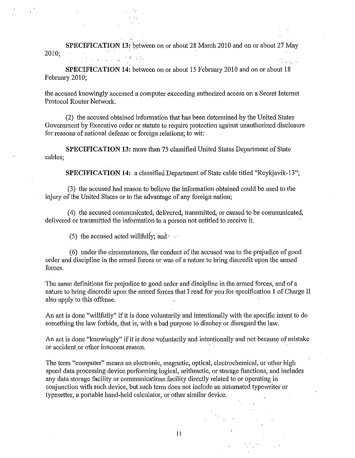**SPECIFICATION 13:** between on or about 28 March 2010 and on or about 27 May 2010;

 $\mathcal{L}^{\mathcal{L}}$  .  $\mathcal{L}^{\mathcal{L}}$ 

**SPECIFICATION 14:** between on or about 15 February 2010 and on or about 18 February 2010;

the accused knowingly accessed a computer exceeding authorized access on a Secret Internet Protocol Router Network.

(2) the accused obtained information that has been determined by the United States Government by Executive order or statute to require protection against unauthorized disclosure for reasons of national defense or foreign relations; to wit:

**SPECIFICATION 13: more than 75 classified United States Department of State** cables;

**SPECIFICATION 14:** a classified Department of State cable titled "Reykjavik-13";

(3) the accused had reason to believe the information obtained could be used to the injury of the United States or to the advantage of any foreign nation;

( 4) the accused communicated, delivered, transmitted, or caused to be communicated, delivered or transmitted the information to a person not entitled to receive it.

(5) the accused acted willfully; and  $\sim$ .

(6) under the circumstances, the conduct of the accused was to the prejudice of good order and discipline in the armed forces or was of a nature to bring discredit upon the armed forces.

The same definitions for prejudice to good order and discipline in the armed forces, and of a nature to bring discredit upon the armed forces that I read for you for specification **1** of Charge II also apply to this offense.

An act is done "willfully" if it is done voluntarily and intentionally with the specific intent to do something the law forbids, that is, with a bad purpose to disobey or disregard the law.

An act is done "knowingly" if it is done voluntarily and intentionally and not because of mistake or accident or other innocent reason.

The term "computer" means an electronic, magnetic, optical, electrochemical, or other high speed data processing device performing logical, aritlnnetic, or storage functions, and includes any data storage facility or communications facility directly related to or operating in conjunction with such device, but such term does not include an automated typewriter·or typesetter, a portable hand-held calculator, or other similar device.

II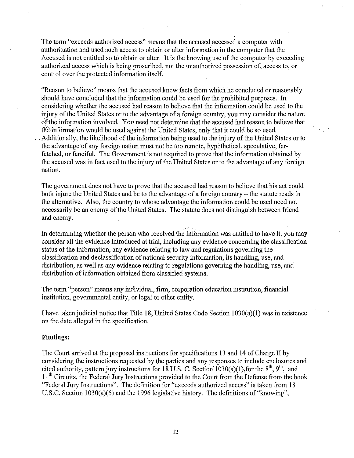The term "exceeds authorized access" means that the accused accessed a computer with authorization and used such access to obtain or alter information in the computer that the Accused is not entitled so to obtain or alter. It is the knowing use of the computer by exceeding authorized access which is being proscribed, not the unauthorized possession of, access to, or control over the protected information itself.

"Reason to believe" means that the accused knew facts from which he concluded or reasonably should have concluded that the information could be used for the prohibited purposes. In considering whether the accused had reason to believe that the information could be used to the injury of the United States or to the advantage of a foreign country, you may consider the nature of the information involved. You need not determine that the accused had reason to believe that the information would be used against the United States, only that it could be so used. Additionally, the likelihood of the information being used to the injury of the United States or to the advantage of any foreign nation must not be too remote, hypothetical, speculative, farfetched, or fanciful. The Government is not required to prove that the information obtained by the accused was in fact used to the injury of the United States or to the advantage of any foreign nation.

The government does not have to prove that the accused had reason to believe that his act could both injure the United States and be to the advantage of a foreign country – the statute reads in the alternative. Also, the country to whose advantage the information could be used need not necessarily be an enemy of the United States. The statute does not distinguish between friend and enemy.

In determining whether the person who received the information was entitled to have it, you may consider all the evidence introduced at trial, including any evidence concerning the classification status of the information, any evidence relating to law and regulations governing the classification and declassification of national security information, its handling, use, and distribution, as well as any evidence relating to regulations governing the handling, use, and distribution of information obtained from classified systems.

The term "person" means any individual, firm, corporation education institution, financial institution, governmental entity, or legal or other entity.

I have taken judicial notice that Title 18, United States Code Section 1030(a)(1) was in existence on the date alleged in the specification.

#### **Findings:**

The Court arrived at the proposed instructions for specifications 13 and 14 of Charge II by considering the instructions requested by the parties and any responses to include enclosures and cited authority, pattern jury instructions for 18 U.S. C. Section 1030(a)(1), for the  $8<sup>th</sup>$ ,  $9<sup>th</sup>$ , and 11<sup>th</sup> Circuits, the Federal Jury Instructions provided to the Court from the Defense from the book "Federal Jury Instructions". The definition for "exceeds authorized access" is taken from 18 U.S.C. Section 1030(a)(6) and the 1996 legislative history. The definitions of "knowing",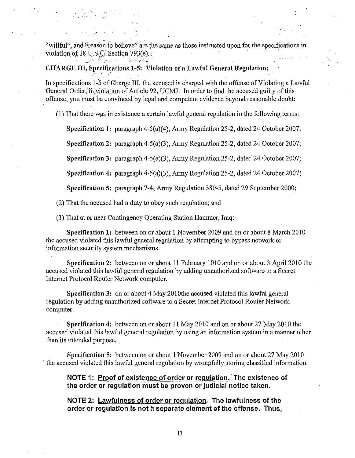"willful", and "reason to believe" are the same as those instructed upon for the specifications in violation of 18 U.S; $\ddot{C}$ : Section 793(e); .• ....

·- .. ·

### **CHARGE III, Specifications 1-5: Violation of a Lawful General Regulation:**

:··.

. The contract of the contract of the contract of the contract of the contract of the contract of the contract of the contract of the contract of the contract of the contract of the contract of the contract of the contrac In specifications 1-5 of Charge III, the accused is charged with the offense of Violating a Lawful General Order; in violation of Article 92, UCMJ. In order to find the accused guilty of this offense, you inust be convinced by legai and competent evidence beyond reasonable doubt:

(1) That there was iri existence a certain lawful general regulation in the following terms:

**Specification 1: paragraph 4-5(a)(4), Army Regulation 25-2, dated 24 October 2007;** 

**Specification 2:** paragraph 4-5(a)(3), Army Regulation 25-2, dated 24 October 2007;

**Specification** 3: paragraph 4-5(a)(3), Army Regulation 25-2, dated 24 October 2007;

**Specification 4: paragraph 4-5(a)(3), Army Regulation 25-2, dated 24 October 2007;** 

**Specification 5:** paragraph 7-4, Army Regulation 380-5, dated 29 September 2000;

(2) That the accused had a duty to obey such regulation; and

(3) That at or near Contingency Qperating Station Hammer, Iraq:·

**Specification 1:** between on or about 1 November 2009 and on or about 8 March 2010 the accused violated this lawful general regulation by attempting to bypass network or information security system mechanisms.

**Specification 2:** between on or about 11 February 1010 and on or about 3 April 2010 the accused violated this lawful general regulation by adding unauthorized software to a Secret Internet Protocol Router Network computer.

**Specification 3:** on or about 4 May 2010the accused violated this lawful general regulation by adding unauthorized software to a Secret Internet Protocol Router Network computer.

**Specification 4:** between on or about 11 May 2010 and on or about 27 May 2010 the accused violated this lawful general regulation by using an information system in a manner other than its intended purpose.

**Specification 5:** between on or about **1** November2009 and on or about 27 May 2010 ' the accused violated this lawful general regulation by wrongfully storing classified information.

**NOTE 1: Proof of existence of order or regulation. The existence of the order or regulation must be proven or judicial notice taken.** 

**NOTE 2: Lawfulness of order or regulation. The lawfulness of the order or regulation is not a separate element of the offense. Thus,**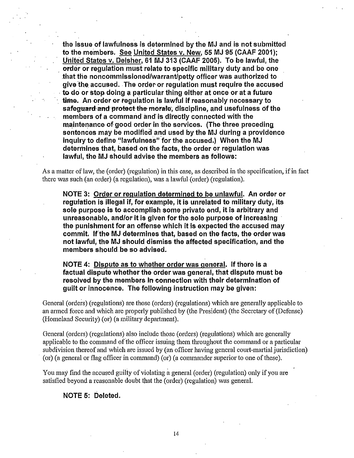the issue of lawfulness is determined by the MJ and is not submitted to the members. See United States v. New, 55 MJ 95 (CAAF 2001); United States v. Deisher, 61 MJ 313 (CAAF 2005). To be lawful, the . order or regulation must relate to specific military duty and be one that the noncommissioned/warrant/petty officer was authorized to give the accused. The order or requiation must require the accused to do or stop doing a particular thing either at once or at a future time. An order or requiation is lawful if reasonably necessary to safeguard and protect the morate, discipline, and usefulness of the members of a command and is directly connected with the maintenance of good order in the services. (The three preceding sentences may be modified and used by the MJ during a providence inquiry to define ''lawfulness" for the accused.) When the MJ determines that, based on the facts, the order or requilation was lawful, the MJ should advise the members as follows:

As a matter of law, the (order) (regulation) in this case, as described in the specification, if in fact there was such (an order) (a regulation), was a lawful (order) (regulation).

NOTE 3: Order or regulation determined to be unlawful. An order or regulation is illegal if, for example, it is unrelated to military duty, its sole purpose is to accomplish some private end, it is arbitrary and unreasonable, and/or it is given for the sole purpose of increasing the punishment for an offense which it is expected the accused may commit. If the MJ determines that, based on the facts, the order was not lawful, the MJ should dismiss the affected specification, and the members should be so advised.

NOTE 4: Dispute as to whether order was general. If there is a factual dispute whether the order was general, that dispute must be resolved by the members in connection with their determination of guilt or innocence. The following instruction may be given:

General (orders) (regulations) are those (orders) (regulations) which are generally applicable to an armed force and which are properly published by (the President) (the Secretary of (Defense) (Homeland Security) (or) (a military depatiment).

General (orders) (regulations) also include those (orders) (regulations) which are generally applicable to the command of the officer issuing them throughout the command or a particular subdivision thereof and which are issued by (an officer having general court-martial jurisdiction) · (or) (a general or flag officer in command) (or) (a commander superior to one of these).

You may find the accused guilty of violating a general (order) (regulation) only if you are satisfied beyond a reasonable doubt that the (order) (regulation) was general.

### NOTE 5: Deleted.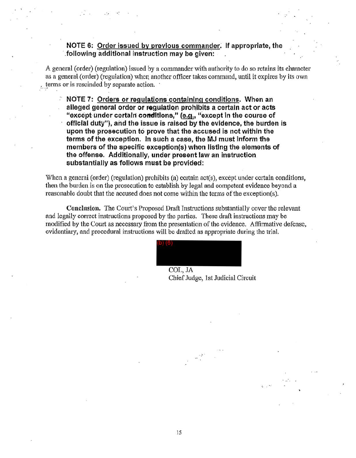# NOTE 6: Order issued by previous commander; If appropriate, the .. following additional instruction may be giveri:

. .

A general (order) (regulation) issued by a commander with authority to do so retains its character as a general.(order) (regulation) when another officer takes command, until it expires by its own *terms or is rescinded by separate action.*  $\cdot$ 

NOTE 7: Orders or regulations containing conditions. When an alleged general order or regulation prohibits a certain act or acts "except under certain conditions," (e.g., "except in the course of offtclal duty"), and the issue is raised by the evidence, the burden is upon the prosecution to prove that the accused is not within the terms of the exception. In such a case, the MJ must Inform the members of the specific exception(s} when listing the elements of the offense. Additionally, under present law an instruction substantially as follows must be provided:

When a general (order) (regulation) prohibits (a) certain act(s), except under certain conditions, then the burden is on the prosecution to establish by legal and competent evidence beyond a reasonable doubt that the accused does not come within the terms of the exception(s).

Conclusion. The Court's Proposed Draft Instructions substantially cover the relevant and legally correct instructions proposed by the patties. These draft instructions may be modified by the Court as necessary from the presentation of the evidence. Affirmative defense, evidentiary, and procedural instructions will be drafted as appropriate during the trial.

 $\mathbf{v}^{\perp}$ 

.:. ...

COL, JA Chief Judge, 1st Judicial Circuit